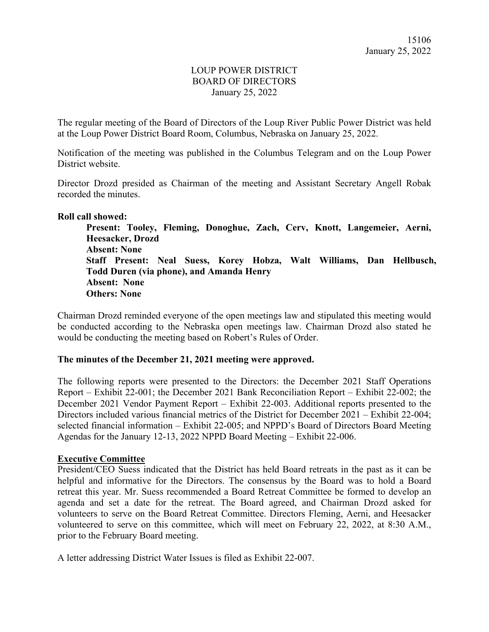# LOUP POWER DISTRICT BOARD OF DIRECTORS January 25, 2022

The regular meeting of the Board of Directors of the Loup River Public Power District was held at the Loup Power District Board Room, Columbus, Nebraska on January 25, 2022.

Notification of the meeting was published in the Columbus Telegram and on the Loup Power District website.

Director Drozd presided as Chairman of the meeting and Assistant Secretary Angell Robak recorded the minutes.

### **Roll call showed:**

**Present: Tooley, Fleming, Donoghue, Zach, Cerv, Knott, Langemeier, Aerni, Heesacker, Drozd Absent: None Staff Present: Neal Suess, Korey Hobza, Walt Williams, Dan Hellbusch, Todd Duren (via phone), and Amanda Henry Absent: None Others: None** 

Chairman Drozd reminded everyone of the open meetings law and stipulated this meeting would be conducted according to the Nebraska open meetings law. Chairman Drozd also stated he would be conducting the meeting based on Robert's Rules of Order.

### **The minutes of the December 21, 2021 meeting were approved.**

The following reports were presented to the Directors: the December 2021 Staff Operations Report – Exhibit 22-001; the December 2021 Bank Reconciliation Report – Exhibit 22-002; the December 2021 Vendor Payment Report – Exhibit 22-003. Additional reports presented to the Directors included various financial metrics of the District for December 2021 – Exhibit 22-004; selected financial information – Exhibit 22-005; and NPPD's Board of Directors Board Meeting Agendas for the January 12-13, 2022 NPPD Board Meeting – Exhibit 22-006.

### **Executive Committee**

President/CEO Suess indicated that the District has held Board retreats in the past as it can be helpful and informative for the Directors. The consensus by the Board was to hold a Board retreat this year. Mr. Suess recommended a Board Retreat Committee be formed to develop an agenda and set a date for the retreat. The Board agreed, and Chairman Drozd asked for volunteers to serve on the Board Retreat Committee. Directors Fleming, Aerni, and Heesacker volunteered to serve on this committee, which will meet on February 22, 2022, at 8:30 A.M., prior to the February Board meeting.

A letter addressing District Water Issues is filed as Exhibit 22-007.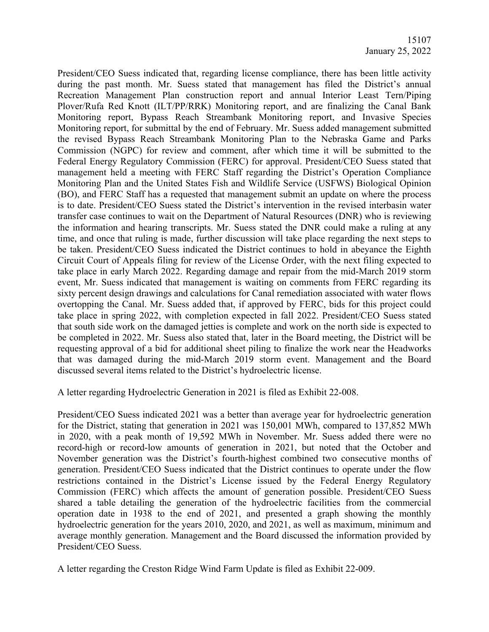President/CEO Suess indicated that, regarding license compliance, there has been little activity during the past month. Mr. Suess stated that management has filed the District's annual Recreation Management Plan construction report and annual Interior Least Tern/Piping Plover/Rufa Red Knott (ILT/PP/RRK) Monitoring report, and are finalizing the Canal Bank Monitoring report, Bypass Reach Streambank Monitoring report, and Invasive Species Monitoring report, for submittal by the end of February. Mr. Suess added management submitted the revised Bypass Reach Streambank Monitoring Plan to the Nebraska Game and Parks Commission (NGPC) for review and comment, after which time it will be submitted to the Federal Energy Regulatory Commission (FERC) for approval. President/CEO Suess stated that management held a meeting with FERC Staff regarding the District's Operation Compliance Monitoring Plan and the United States Fish and Wildlife Service (USFWS) Biological Opinion (BO), and FERC Staff has a requested that management submit an update on where the process is to date. President/CEO Suess stated the District's intervention in the revised interbasin water transfer case continues to wait on the Department of Natural Resources (DNR) who is reviewing the information and hearing transcripts. Mr. Suess stated the DNR could make a ruling at any time, and once that ruling is made, further discussion will take place regarding the next steps to be taken. President/CEO Suess indicated the District continues to hold in abeyance the Eighth Circuit Court of Appeals filing for review of the License Order, with the next filing expected to take place in early March 2022. Regarding damage and repair from the mid-March 2019 storm event, Mr. Suess indicated that management is waiting on comments from FERC regarding its sixty percent design drawings and calculations for Canal remediation associated with water flows overtopping the Canal. Mr. Suess added that, if approved by FERC, bids for this project could take place in spring 2022, with completion expected in fall 2022. President/CEO Suess stated that south side work on the damaged jetties is complete and work on the north side is expected to be completed in 2022. Mr. Suess also stated that, later in the Board meeting, the District will be requesting approval of a bid for additional sheet piling to finalize the work near the Headworks that was damaged during the mid-March 2019 storm event. Management and the Board discussed several items related to the District's hydroelectric license.

A letter regarding Hydroelectric Generation in 2021 is filed as Exhibit 22-008.

President/CEO Suess indicated 2021 was a better than average year for hydroelectric generation for the District, stating that generation in 2021 was 150,001 MWh, compared to 137,852 MWh in 2020, with a peak month of 19,592 MWh in November. Mr. Suess added there were no record-high or record-low amounts of generation in 2021, but noted that the October and November generation was the District's fourth-highest combined two consecutive months of generation. President/CEO Suess indicated that the District continues to operate under the flow restrictions contained in the District's License issued by the Federal Energy Regulatory Commission (FERC) which affects the amount of generation possible. President/CEO Suess shared a table detailing the generation of the hydroelectric facilities from the commercial operation date in 1938 to the end of 2021, and presented a graph showing the monthly hydroelectric generation for the years 2010, 2020, and 2021, as well as maximum, minimum and average monthly generation. Management and the Board discussed the information provided by President/CEO Suess.

A letter regarding the Creston Ridge Wind Farm Update is filed as Exhibit 22-009.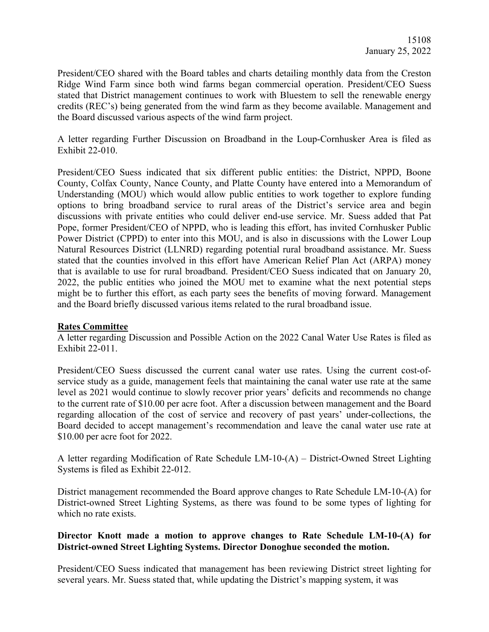President/CEO shared with the Board tables and charts detailing monthly data from the Creston Ridge Wind Farm since both wind farms began commercial operation. President/CEO Suess stated that District management continues to work with Bluestem to sell the renewable energy credits (REC's) being generated from the wind farm as they become available. Management and the Board discussed various aspects of the wind farm project.

A letter regarding Further Discussion on Broadband in the Loup-Cornhusker Area is filed as Exhibit 22-010.

President/CEO Suess indicated that six different public entities: the District, NPPD, Boone County, Colfax County, Nance County, and Platte County have entered into a Memorandum of Understanding (MOU) which would allow public entities to work together to explore funding options to bring broadband service to rural areas of the District's service area and begin discussions with private entities who could deliver end-use service. Mr. Suess added that Pat Pope, former President/CEO of NPPD, who is leading this effort, has invited Cornhusker Public Power District (CPPD) to enter into this MOU, and is also in discussions with the Lower Loup Natural Resources District (LLNRD) regarding potential rural broadband assistance. Mr. Suess stated that the counties involved in this effort have American Relief Plan Act (ARPA) money that is available to use for rural broadband. President/CEO Suess indicated that on January 20, 2022, the public entities who joined the MOU met to examine what the next potential steps might be to further this effort, as each party sees the benefits of moving forward. Management and the Board briefly discussed various items related to the rural broadband issue.

### **Rates Committee**

A letter regarding Discussion and Possible Action on the 2022 Canal Water Use Rates is filed as Exhibit 22-011.

President/CEO Suess discussed the current canal water use rates. Using the current cost-ofservice study as a guide, management feels that maintaining the canal water use rate at the same level as 2021 would continue to slowly recover prior years' deficits and recommends no change to the current rate of \$10.00 per acre foot. After a discussion between management and the Board regarding allocation of the cost of service and recovery of past years' under-collections, the Board decided to accept management's recommendation and leave the canal water use rate at \$10.00 per acre foot for 2022.

A letter regarding Modification of Rate Schedule LM-10-(A) – District-Owned Street Lighting Systems is filed as Exhibit 22-012.

District management recommended the Board approve changes to Rate Schedule LM-10-(A) for District-owned Street Lighting Systems, as there was found to be some types of lighting for which no rate exists.

# **Director Knott made a motion to approve changes to Rate Schedule LM-10-(A) for District-owned Street Lighting Systems. Director Donoghue seconded the motion.**

President/CEO Suess indicated that management has been reviewing District street lighting for several years. Mr. Suess stated that, while updating the District's mapping system, it was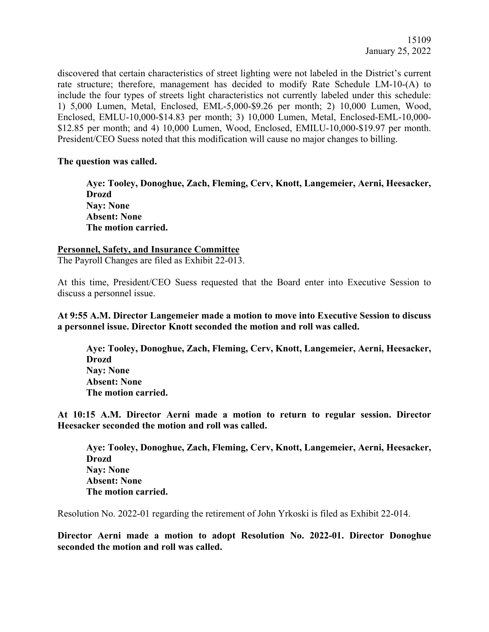discovered that certain characteristics of street lighting were not labeled in the District's current rate structure; therefore, management has decided to modify Rate Schedule LM-10-(A) to include the four types of streets light characteristics not currently labeled under this schedule: 1) 5,000 Lumen, Metal, Enclosed, EML-5,000-\$9.26 per month; 2) 10,000 Lumen, Wood, Enclosed, EMLU-10,000-\$14.83 per month; 3) 10,000 Lumen, Metal, Enclosed-EML-10,000- \$12.85 per month; and 4) 10,000 Lumen, Wood, Enclosed, EMILU-10,000-\$19.97 per month. President/CEO Suess noted that this modification will cause no major changes to billing.

### **The question was called.**

**Aye: Tooley, Donoghue, Zach, Fleming, Cerv, Knott, Langemeier, Aerni, Heesacker, Drozd Nay: None Absent: None The motion carried.** 

# **Personnel, Safety, and Insurance Committee**

The Payroll Changes are filed as Exhibit 22-013.

At this time, President/CEO Suess requested that the Board enter into Executive Session to discuss a personnel issue.

**At 9:55 A.M. Director Langemeier made a motion to move into Executive Session to discuss a personnel issue. Director Knott seconded the motion and roll was called.** 

**Aye: Tooley, Donoghue, Zach, Fleming, Cerv, Knott, Langemeier, Aerni, Heesacker, Drozd Nay: None Absent: None The motion carried.** 

**At 10:15 A.M. Director Aerni made a motion to return to regular session. Director Heesacker seconded the motion and roll was called.** 

**Aye: Tooley, Donoghue, Zach, Fleming, Cerv, Knott, Langemeier, Aerni, Heesacker, Drozd Nay: None Absent: None The motion carried.** 

Resolution No. 2022-01 regarding the retirement of John Yrkoski is filed as Exhibit 22-014.

**Director Aerni made a motion to adopt Resolution No. 2022-01. Director Donoghue seconded the motion and roll was called.**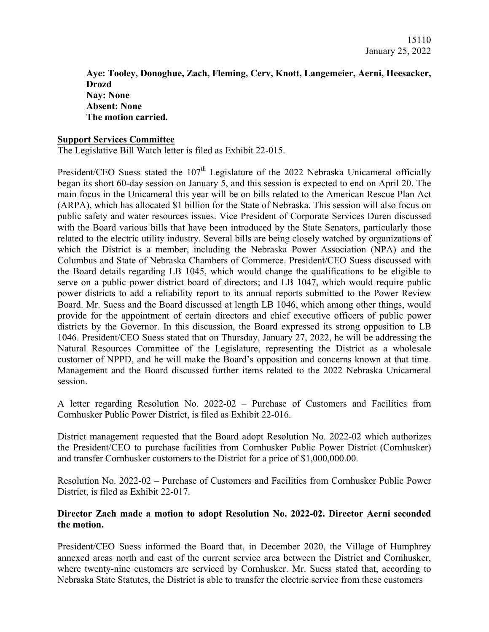# **Aye: Tooley, Donoghue, Zach, Fleming, Cerv, Knott, Langemeier, Aerni, Heesacker, Drozd Nay: None Absent: None The motion carried.**

## **Support Services Committee**

The Legislative Bill Watch letter is filed as Exhibit 22-015.

President/CEO Suess stated the  $107<sup>th</sup>$  Legislature of the 2022 Nebraska Unicameral officially began its short 60-day session on January 5, and this session is expected to end on April 20. The main focus in the Unicameral this year will be on bills related to the American Rescue Plan Act (ARPA), which has allocated \$1 billion for the State of Nebraska. This session will also focus on public safety and water resources issues. Vice President of Corporate Services Duren discussed with the Board various bills that have been introduced by the State Senators, particularly those related to the electric utility industry. Several bills are being closely watched by organizations of which the District is a member, including the Nebraska Power Association (NPA) and the Columbus and State of Nebraska Chambers of Commerce. President/CEO Suess discussed with the Board details regarding LB 1045, which would change the qualifications to be eligible to serve on a public power district board of directors; and LB 1047, which would require public power districts to add a reliability report to its annual reports submitted to the Power Review Board. Mr. Suess and the Board discussed at length LB 1046, which among other things, would provide for the appointment of certain directors and chief executive officers of public power districts by the Governor. In this discussion, the Board expressed its strong opposition to LB 1046. President/CEO Suess stated that on Thursday, January 27, 2022, he will be addressing the Natural Resources Committee of the Legislature, representing the District as a wholesale customer of NPPD, and he will make the Board's opposition and concerns known at that time. Management and the Board discussed further items related to the 2022 Nebraska Unicameral session.

A letter regarding Resolution No. 2022-02 – Purchase of Customers and Facilities from Cornhusker Public Power District, is filed as Exhibit 22-016.

District management requested that the Board adopt Resolution No. 2022-02 which authorizes the President/CEO to purchase facilities from Cornhusker Public Power District (Cornhusker) and transfer Cornhusker customers to the District for a price of \$1,000,000.00.

Resolution No. 2022-02 – Purchase of Customers and Facilities from Cornhusker Public Power District, is filed as Exhibit 22-017.

## **Director Zach made a motion to adopt Resolution No. 2022-02. Director Aerni seconded the motion.**

President/CEO Suess informed the Board that, in December 2020, the Village of Humphrey annexed areas north and east of the current service area between the District and Cornhusker, where twenty-nine customers are serviced by Cornhusker. Mr. Suess stated that, according to Nebraska State Statutes, the District is able to transfer the electric service from these customers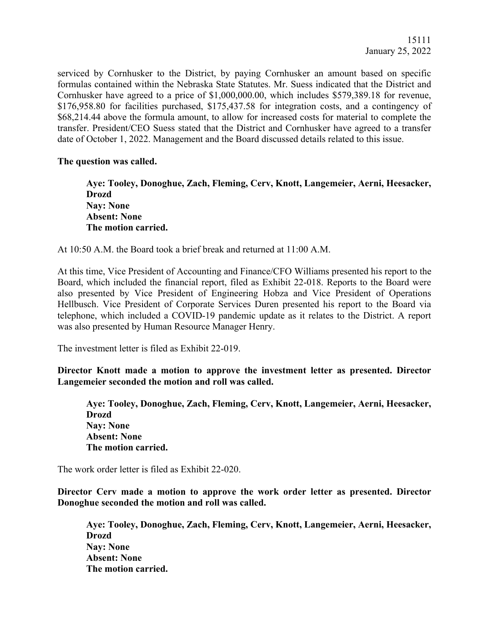serviced by Cornhusker to the District, by paying Cornhusker an amount based on specific formulas contained within the Nebraska State Statutes. Mr. Suess indicated that the District and Cornhusker have agreed to a price of \$1,000,000.00, which includes \$579,389.18 for revenue, \$176,958.80 for facilities purchased, \$175,437.58 for integration costs, and a contingency of \$68,214.44 above the formula amount, to allow for increased costs for material to complete the transfer. President/CEO Suess stated that the District and Cornhusker have agreed to a transfer date of October 1, 2022. Management and the Board discussed details related to this issue.

## **The question was called.**

**Aye: Tooley, Donoghue, Zach, Fleming, Cerv, Knott, Langemeier, Aerni, Heesacker, Drozd Nay: None Absent: None The motion carried.** 

At 10:50 A.M. the Board took a brief break and returned at 11:00 A.M.

At this time, Vice President of Accounting and Finance/CFO Williams presented his report to the Board, which included the financial report, filed as Exhibit 22-018. Reports to the Board were also presented by Vice President of Engineering Hobza and Vice President of Operations Hellbusch. Vice President of Corporate Services Duren presented his report to the Board via telephone, which included a COVID-19 pandemic update as it relates to the District. A report was also presented by Human Resource Manager Henry.

The investment letter is filed as Exhibit 22-019.

**Director Knott made a motion to approve the investment letter as presented. Director Langemeier seconded the motion and roll was called.** 

**Aye: Tooley, Donoghue, Zach, Fleming, Cerv, Knott, Langemeier, Aerni, Heesacker, Drozd Nay: None Absent: None The motion carried.** 

The work order letter is filed as Exhibit 22-020.

**Director Cerv made a motion to approve the work order letter as presented. Director Donoghue seconded the motion and roll was called.** 

**Aye: Tooley, Donoghue, Zach, Fleming, Cerv, Knott, Langemeier, Aerni, Heesacker, Drozd Nay: None Absent: None The motion carried.**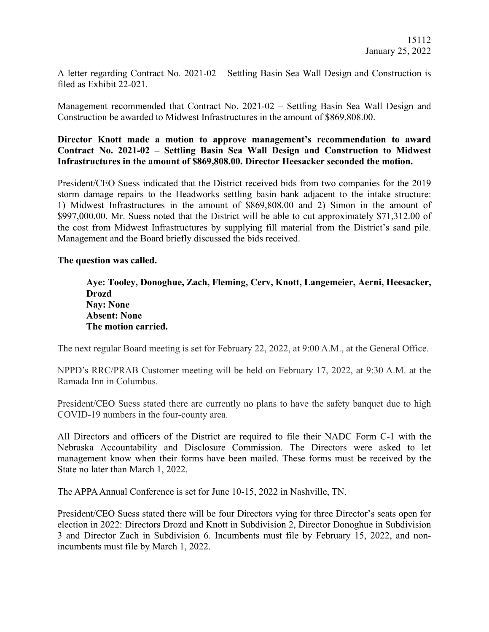A letter regarding Contract No. 2021-02 – Settling Basin Sea Wall Design and Construction is filed as Exhibit 22-021.

Management recommended that Contract No. 2021-02 – Settling Basin Sea Wall Design and Construction be awarded to Midwest Infrastructures in the amount of \$869,808.00.

## **Director Knott made a motion to approve management's recommendation to award Contract No. 2021-02 – Settling Basin Sea Wall Design and Construction to Midwest Infrastructures in the amount of \$869,808.00. Director Heesacker seconded the motion.**

President/CEO Suess indicated that the District received bids from two companies for the 2019 storm damage repairs to the Headworks settling basin bank adjacent to the intake structure: 1) Midwest Infrastructures in the amount of \$869,808.00 and 2) Simon in the amount of \$997,000.00. Mr. Suess noted that the District will be able to cut approximately \$71,312.00 of the cost from Midwest Infrastructures by supplying fill material from the District's sand pile. Management and the Board briefly discussed the bids received.

**The question was called.** 

**Aye: Tooley, Donoghue, Zach, Fleming, Cerv, Knott, Langemeier, Aerni, Heesacker, Drozd Nay: None Absent: None The motion carried.** 

The next regular Board meeting is set for February 22, 2022, at 9:00 A.M., at the General Office.

NPPD's RRC/PRAB Customer meeting will be held on February 17, 2022, at 9:30 A.M. at the Ramada Inn in Columbus.

President/CEO Suess stated there are currently no plans to have the safety banquet due to high COVID-19 numbers in the four-county area.

All Directors and officers of the District are required to file their NADC Form C-1 with the Nebraska Accountability and Disclosure Commission. The Directors were asked to let management know when their forms have been mailed. These forms must be received by the State no later than March 1, 2022.

The APPA Annual Conference is set for June 10-15, 2022 in Nashville, TN.

President/CEO Suess stated there will be four Directors vying for three Director's seats open for election in 2022: Directors Drozd and Knott in Subdivision 2, Director Donoghue in Subdivision 3 and Director Zach in Subdivision 6. Incumbents must file by February 15, 2022, and nonincumbents must file by March 1, 2022.